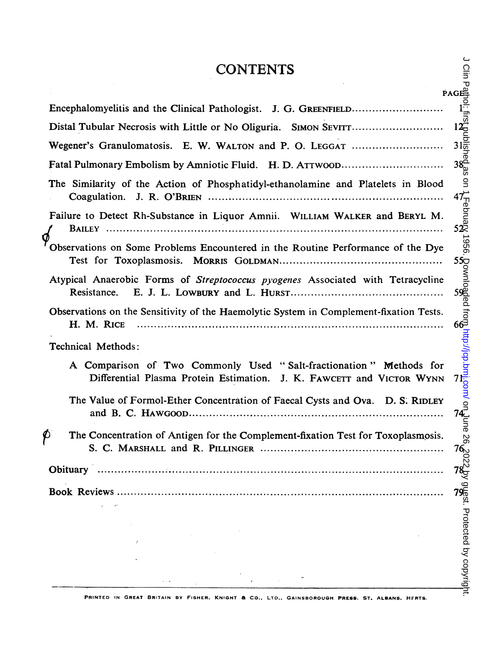| <b>CONTENTS</b>                                                                                                                             | ے<br>으<br>이                                                                                                                                                                                                                                                                                                                                          |
|---------------------------------------------------------------------------------------------------------------------------------------------|------------------------------------------------------------------------------------------------------------------------------------------------------------------------------------------------------------------------------------------------------------------------------------------------------------------------------------------------------|
|                                                                                                                                             | PAGE $\frac{1}{1}$<br>$\frac{1}{1}$<br>$\frac{1}{1}$<br>$\frac{1}{2}$<br>$\frac{1}{1}$<br>$\frac{1}{1}$<br>$\frac{1}{1}$<br>$\frac{1}{1}$<br>$\frac{1}{1}$<br>$\frac{1}{1}$<br>$\frac{1}{1}$<br>$\frac{1}{1}$<br>$\frac{1}{1}$<br>$\frac{1}{1}$<br>$\frac{1}{1}$<br>$\frac{1}{1}$<br>$\frac{1}{1}$<br>$\frac{1}{1}$<br>$\frac{1}{1}$<br>$\frac{1}{1$ |
|                                                                                                                                             |                                                                                                                                                                                                                                                                                                                                                      |
|                                                                                                                                             |                                                                                                                                                                                                                                                                                                                                                      |
| Wegener's Granulomatosis. E. W. WALTON and P. O. LEGGAT                                                                                     |                                                                                                                                                                                                                                                                                                                                                      |
|                                                                                                                                             |                                                                                                                                                                                                                                                                                                                                                      |
| The Similarity of the Action of Phosphatidyl-ethanolamine and Platelets in Blood                                                            | $\mathbf{S}$<br>$47\overline{)}$                                                                                                                                                                                                                                                                                                                     |
| Failure to Detect Rh-Substance in Liquor Amnii. WILLIAM WALKER and BERYL M.                                                                 | $rac{1}{2}$<br>spinger                                                                                                                                                                                                                                                                                                                               |
| Ø<br>Observations on Some Problems Encountered in the Routine Performance of the Dye                                                        |                                                                                                                                                                                                                                                                                                                                                      |
| Atypical Anaerobic Forms of Streptococcus pyogenes Associated with Tetracycline<br>Resistance.                                              |                                                                                                                                                                                                                                                                                                                                                      |
| Observations on the Sensitivity of the Haemolytic System in Complement-fixation Tests.<br>H. M. RICE                                        |                                                                                                                                                                                                                                                                                                                                                      |
| Technical Methods:                                                                                                                          |                                                                                                                                                                                                                                                                                                                                                      |
| A Comparison of Two Commonly Used "Salt-fractionation" Methods for<br>Differential Plasma Protein Estimation. J. K. FAWCETT and VICTOR WYNN | 55<br>55<br>5989<br>5989<br>7<br>7<br>7<br>7<br>7<br>2<br>2<br>Dinisolar of Dinisolar particles in the set of the set of the set of the set of the set of the set of the set of the set of the set of the set of the set of the set of the set of the set of th                                                                                      |
| The Value of Formol-Ether Concentration of Faecal Cysts and Ova. D. S. RIDLEY                                                               |                                                                                                                                                                                                                                                                                                                                                      |
| P<br>The Concentration of Antigen for the Complement-fixation Test for Toxoplasmosis.                                                       |                                                                                                                                                                                                                                                                                                                                                      |
|                                                                                                                                             |                                                                                                                                                                                                                                                                                                                                                      |
| Obituary                                                                                                                                    | $78^{202}_{80}$                                                                                                                                                                                                                                                                                                                                      |
| <b>Book Reviews</b>                                                                                                                         | $\overline{a}$                                                                                                                                                                                                                                                                                                                                       |
|                                                                                                                                             |                                                                                                                                                                                                                                                                                                                                                      |
|                                                                                                                                             |                                                                                                                                                                                                                                                                                                                                                      |
|                                                                                                                                             |                                                                                                                                                                                                                                                                                                                                                      |
|                                                                                                                                             |                                                                                                                                                                                                                                                                                                                                                      |
|                                                                                                                                             | <b>Use the crected by copyright:</b>                                                                                                                                                                                                                                                                                                                 |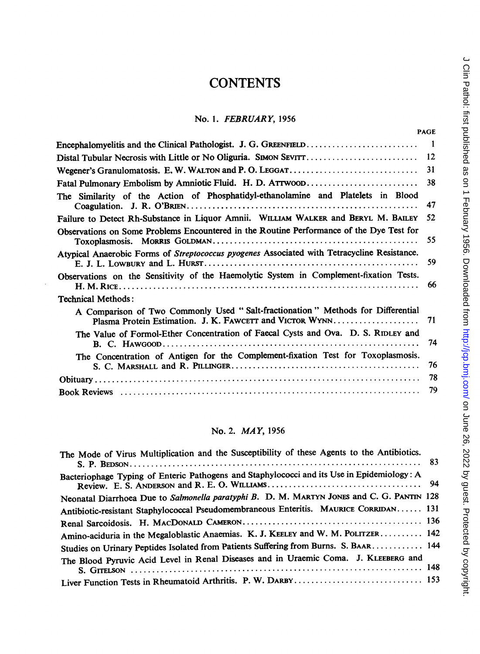#### No. 1. FEBRUARY, 1956

|                                                                                                                                             | <b>PAGE</b>  |
|---------------------------------------------------------------------------------------------------------------------------------------------|--------------|
| Encephalomyelitis and the Clinical Pathologist. J. G. GREENFIELD                                                                            | $\mathbf{1}$ |
|                                                                                                                                             | 12           |
| Wegener's Granulomatosis. E. W. WALTON and P.O. LEGGAT                                                                                      | 31           |
| Fatal Pulmonary Embolism by Amniotic Fluid. H. D. ATTWOOD                                                                                   | 38           |
| The Similarity of the Action of Phosphatidyl-ethanolamine and Platelets in Blood                                                            | 47           |
| Failure to Detect Rh-Substance in Liquor Amnii. WILLIAM WALKER and BERYL M. BAILEY                                                          | 52           |
| Observations on Some Problems Encountered in the Routine Performance of the Dye Test for                                                    | 55           |
| Atypical Anaerobic Forms of Streptococcus pyogenes Associated with Tetracycline Resistance.                                                 | 59           |
| Observations on the Sensitivity of the Haemolytic System in Complement-fixation Tests.                                                      | 66           |
| <b>Technical Methods:</b>                                                                                                                   |              |
| A Comparison of Two Commonly Used "Salt-fractionation" Methods for Differential<br>Plasma Protein Estimation. J. K. FAWCETT and VICTOR WYNN | -71          |
| The Value of Formol-Ether Concentration of Faecal Cysts and Ova. D. S. RIDLEY and                                                           |              |
|                                                                                                                                             | 74           |
| The Concentration of Antigen for the Complement-fixation Test for Toxoplasmosis.                                                            | 76           |
|                                                                                                                                             | 78           |
|                                                                                                                                             | 79           |
|                                                                                                                                             |              |
| No. 2. <i>MAY</i> , 1956                                                                                                                    |              |
| The Mode of Virus Multiplication and the Susceptibility of these Agents to the Antibiotics.                                                 |              |

l,

#### No. 2. MAY, 1956

| The Mode of Virus Multiplication and the Susceptibility of these Agents to the Antibiotics. |  |
|---------------------------------------------------------------------------------------------|--|
| Bacteriophage Typing of Enteric Pathogens and Staphylococci and its Use in Epidemiology: A  |  |
| Neonatal Diarrhoea Due to Salmonella paratyphi B. D. M. MARTYN JONES and C. G. PANTIN 128   |  |
| Antibiotic-resistant Staphylococcal Pseudomembraneous Enteritis. MAURICE CORRIDAN 131       |  |
|                                                                                             |  |
| Amino-aciduria in the Megaloblastic Anaemias. K. J. KEELEY and W. M. POLITZER 142           |  |
| Studies on Urinary Peptides Isolated from Patients Suffering from Burns. S. BAAR 144        |  |
| The Blood Pyruvic Acid Level in Renal Diseases and in Uraemic Coma. J. KLEEBERG and         |  |
|                                                                                             |  |
|                                                                                             |  |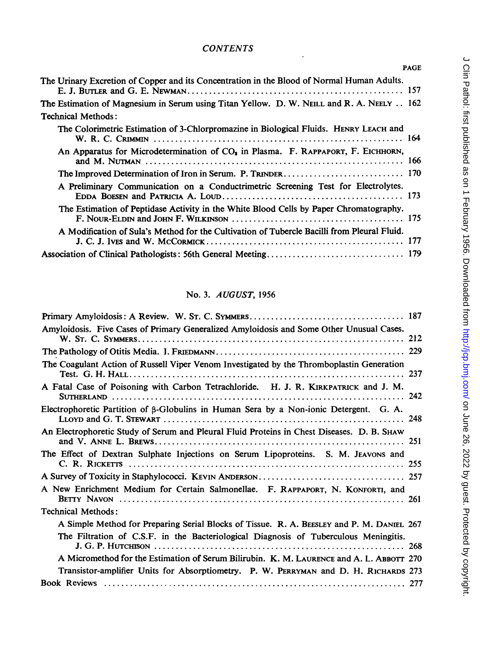|                                                                                              | <b>PAGE</b> |
|----------------------------------------------------------------------------------------------|-------------|
| The Urinary Excretion of Copper and its Concentration in the Blood of Normal Human Adults.   |             |
| The Estimation of Magnesium in Serum using Titan Yellow. D. W. NEILL and R. A. NEELY 162     |             |
| <b>Technical Methods:</b>                                                                    |             |
| The Colorimetric Estimation of 3-Chlorpromazine in Biological Fluids. HENRY LEACH and        |             |
| An Apparatus for Microdetermination of CO <sub>2</sub> in Plasma. F. RAPPAPORT, F. EICHHORN, |             |
|                                                                                              |             |
| A Preliminary Communication on a Conductrimetric Screening Test for Electrolytes.            |             |
| The Estimation of Peptidase Activity in the White Blood Cells by Paper Chromatography.       |             |
| A Modification of Sula's Method for the Cultivation of Tubercle Bacilli from Pleural Fluid.  |             |
|                                                                                              |             |

## No. 3. AUGUST, 1956

| No. 3. AUGUST, 1956                                                                                                                                                                                                                                                              |  |
|----------------------------------------------------------------------------------------------------------------------------------------------------------------------------------------------------------------------------------------------------------------------------------|--|
| Amyloidosis. Five Cases of Primary Generalized Amyloidosis and Some Other Unusual Cases.                                                                                                                                                                                         |  |
|                                                                                                                                                                                                                                                                                  |  |
|                                                                                                                                                                                                                                                                                  |  |
| The Coagulant Action of Russell Viper Venom Investigated by the Thromboplastin Generation                                                                                                                                                                                        |  |
| A Fatal Case of Poisoning with Carbon Tetrachloride. H. J. R. KIRKPATRICK and J. M.                                                                                                                                                                                              |  |
| Electrophoretic Partition of $\beta$ -Globulins in Human Sera by a Non-ionic Detergent. G. A.<br>LLOYD and G. T. STEWART $\ldots$ , $\ldots$ , $\ldots$ , $\ldots$ , $\ldots$ , $\ldots$ , $\ldots$ , $\ldots$ , $\ldots$ , $\ldots$ , $\ldots$ , $\ldots$ , $\ldots$ , $\ldots$ |  |
| An Electrophoretic Study of Serum and Pleural Fluid Proteins in Chest Diseases. D. B. Shaw                                                                                                                                                                                       |  |
| The Effect of Dextran Sulphate Injections on Serum Lipoproteins. S. M. JEAVONS and                                                                                                                                                                                               |  |
|                                                                                                                                                                                                                                                                                  |  |
| A New Enrichment Medium for Certain Salmonellae. F. RAPPAPORT, N. KONFORTI, and                                                                                                                                                                                                  |  |
| Technical Methods:                                                                                                                                                                                                                                                               |  |
| A Simple Method for Preparing Serial Blocks of Tissue. R. A. BEESLEY and P. M. DANIEL 267                                                                                                                                                                                        |  |
| The Filtration of C.S.F. in the Bacteriological Diagnosis of Tuberculous Meningitis.                                                                                                                                                                                             |  |
| A Micromethod for the Estimation of Serum Bilirubin. K. M. LAURENCE and A. L. ABBOTT 270                                                                                                                                                                                         |  |
| Transistor-amplifier Units for Absorptiometry. P. W. PERRYMAN and D. H. RICHARDS 273                                                                                                                                                                                             |  |
|                                                                                                                                                                                                                                                                                  |  |